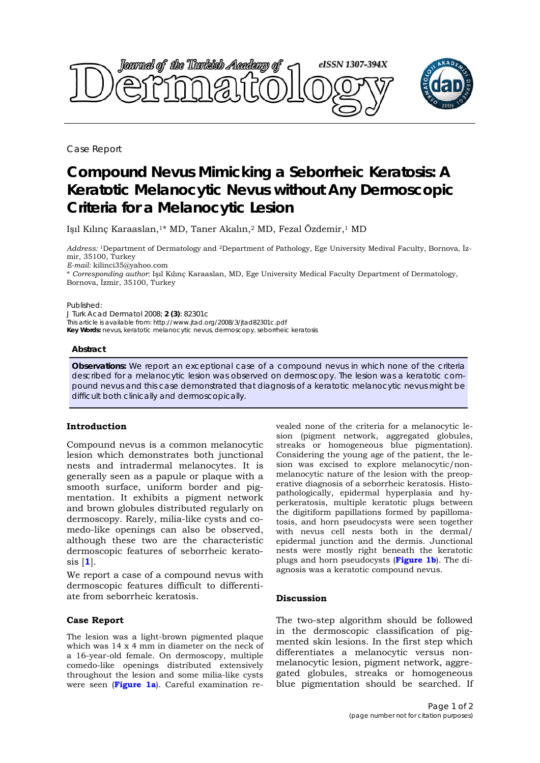

Case Report

# **Compound Nevus Mimicking a Seborrheic Keratosis: A Keratotic Melanocytic Nevus without Any Dermoscopic Criteria for a Melanocytic Lesion**

Işıl Kılınç Karaaslan,<sup>1\*</sup> MD, Taner Akalın,<sup>2</sup> MD, Fezal Özdemir,<sup>1</sup> MD

*Address:* 1Department of Dermatology and 2Department of Pathology, Ege University Medival Faculty, Bornova, İzmir, 35100, Turkey

*E-mail:* kilinci35@yahoo.com

\* *Corresponding author*: Işıl Kılınç Karaaslan, MD, Ege University Medical Faculty Department of Dermatology, Bornova, İzmir, 35100, Turkey

#### Published:

*J Turk Acad Dermatol* 2008; **2 (3)**: 82301c This article is available from: http://www.jtad.org/2008/3/jtad82301c.pdf **Key Words:** nevus, keratotic melanocytic nevus, dermoscopy, seborrheic keratosis

#### **Abstract**

**Observations:** We report an exceptional case of a compound nevus in which none of the criteria described for a melanocytic lesion was observed on dermoscopy. The lesion was a keratotic compound nevus and this case demonstrated that diagnosis of a keratotic melanocytic nevus might be difficult both clinically and dermoscopically.

## **Introduction**

Compound nevus is a common melanocytic lesion which demonstrates both junctional nests and intradermal melanocytes. It is generally seen as a papule or plaque with a smooth surface, uniform border and pigmentation. It exhibits a pigment network and brown globules distributed regularly on dermoscopy. Rarely, milia-like cysts and comedo-like openings can also be observed, although these two are the characteristic dermoscopic features of seborrheic keratosis [**1**].

We report a case of a compound nevus with dermoscopic features difficult to differentiate from seborrheic keratosis.

## **Case Report**

The lesion was a light-brown pigmented plaque which was 14 x 4 mm in diameter on the neck of a 16-year-old female. On dermoscopy, multiple comedo-like openings distributed extensively throughout the lesion and some milia-like cysts were seen (**Figure 1a**). Careful examination revealed none of the criteria for a melanocytic lesion (pigment network, aggregated globules, streaks or homogeneous blue pigmentation). Considering the young age of the patient, the lesion was excised to explore melanocytic/nonmelanocytic nature of the lesion with the preoperative diagnosis of a seborrheic keratosis. Histopathologically, epidermal hyperplasia and hyperkeratosis, multiple keratotic plugs between the digitiform papillations formed by papillomatosis, and horn pseudocysts were seen together with nevus cell nests both in the dermal/ epidermal junction and the dermis. Junctional nests were mostly right beneath the keratotic plugs and horn pseudocysts (**Figure 1b**). The diagnosis was a keratotic compound nevus.

## **Discussion**

The two-step algorithm should be followed in the dermoscopic classification of pigmented skin lesions. In the first step which differentiates a melanocytic versus nonmelanocytic lesion, pigment network, aggregated globules, streaks or homogeneous blue pigmentation should be searched. If